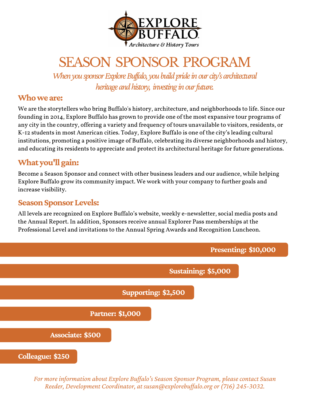

# SEASON SPONSOR PROGRAM

When you sponsor Explore Buffalo, you build pride in our city's architectural *heritage and history, investing in our future.* 

### **Whoweare:**

We are the storytellers who bring Buffalo's history, architecture, and neighborhoods to life. Since our founding in 2014, Explore Buffalo has grown to provide one of the most expansive tour programs of any city in the country, offering a variety and frequency of tours unavailable to visitors, residents, or K-12 students in most American cities. Today, Explore Buffalo is one of the city's leading cultural institutions, promoting a positive image of Buffalo, celebrating its diverse neighborhoods and history, and educating its residents to appreciate and protect its architectural heritage for future generations.

### **Whatyou'llgain:**

Become a Season Sponsor and connect with other business leaders and our audience, while helping Explore Buffalo grow its community impact. We work with your company to further goals and increase visibility.

### **Season Sponsor Levels:**

All levels are recognized on Explore Buffalo's website, weekly e-newsletter, social media posts and the Annual Report. In addition, Sponsors receive annual Explorer Pass memberships at the Professional Level and invitations to the Annual Spring Awards and Recognition Luncheon.



*For moreinformation about Explore Buf alo's Season Sponsor Program, pleasecontact Susan Reeder, Development Coordinator, at susan@explorebuf alo.org or (716) 245-3032.*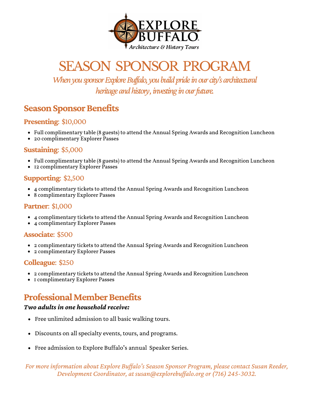

# SEASON SPONSOR PROGRAM

When you sponsor Explore Buffalo, you build pride in our city's architectural heritage and history, investing in our future.

## **Season Sponsor Benefits**

#### **Presenting**: \$10,000

- Full complimentary table (8 guests) to attend the Annual Spring Awards and Recognition Luncheon
- 20 complimentary Explorer Passes

#### **Sustaining**: \$5,000

- Full complimentary table (8 guests) to attend the Annual Spring Awards and Recognition Luncheon
- 12 complimentary Explorer Passes

#### **Supporting**: \$2,500

- 4 complimentary tickets to attend the Annual Spring Awards and Recognition Luncheon
- 8 complimentary Explorer Passes

#### **Partner**: \$1,000

- 4 complimentary tickets to attend the Annual Spring Awards and Recognition Luncheon
- 4 complimentary Explorer Passes

#### **Associate**: \$500

- 2 complimentary tickets to attend the Annual Spring Awards and Recognition Luncheon
- 2 complimentary Explorer Passes

#### **Colleague**: \$250

- 2 complimentary tickets to attend the Annual Spring Awards and Recognition Luncheon
- 1 complimentary Explorer Passes

## **Professional Member Benefits**

#### *Two adults in one household receive:*

- Free unlimited admission to all basic walking tours.
- Discounts on all specialty events, tours, and programs.
- Free admission to Explore Buffalo's annual Speaker Series.

*For moreinformation about Explore Buf alo's Season Sponsor Program, pleasecontact Susan Reeder, Development Coordinator, at susan@explorebuf alo.org or (716) 245-3032.*